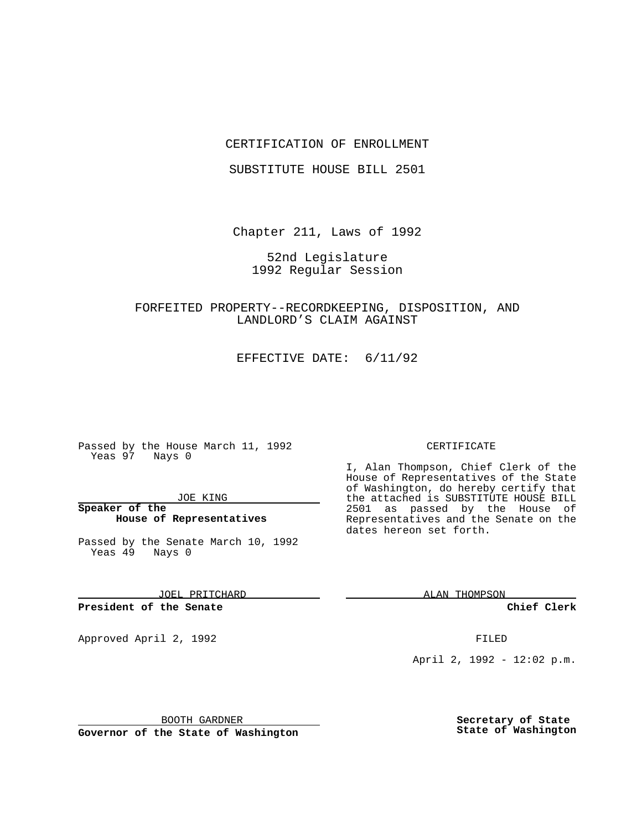### CERTIFICATION OF ENROLLMENT

SUBSTITUTE HOUSE BILL 2501

Chapter 211, Laws of 1992

52nd Legislature 1992 Regular Session

# FORFEITED PROPERTY--RECORDKEEPING, DISPOSITION, AND LANDLORD'S CLAIM AGAINST

EFFECTIVE DATE: 6/11/92

Passed by the House March 11, 1992 Yeas 97 Nays 0

JOE KING

**Speaker of the House of Representatives**

Passed by the Senate March 10, 1992 Yeas 49 Nays 0

JOEL PRITCHARD

**President of the Senate**

Approved April 2, 1992 **FILED** 

BOOTH GARDNER

**Governor of the State of Washington**

#### CERTIFICATE

I, Alan Thompson, Chief Clerk of the House of Representatives of the State of Washington, do hereby certify that the attached is SUBSTITUTE HOUSE BILL 2501 as passed by the House of Representatives and the Senate on the dates hereon set forth.

ALAN THOMPSON

**Chief Clerk**

April 2, 1992 - 12:02 p.m.

**Secretary of State State of Washington**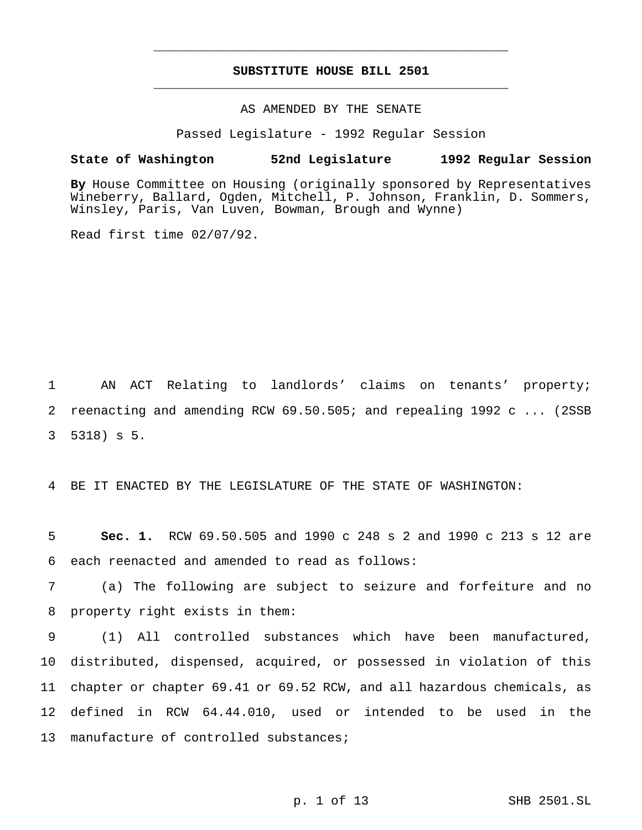## **SUBSTITUTE HOUSE BILL 2501** \_\_\_\_\_\_\_\_\_\_\_\_\_\_\_\_\_\_\_\_\_\_\_\_\_\_\_\_\_\_\_\_\_\_\_\_\_\_\_\_\_\_\_\_\_\_\_

\_\_\_\_\_\_\_\_\_\_\_\_\_\_\_\_\_\_\_\_\_\_\_\_\_\_\_\_\_\_\_\_\_\_\_\_\_\_\_\_\_\_\_\_\_\_\_

## AS AMENDED BY THE SENATE

Passed Legislature - 1992 Regular Session

#### **State of Washington 52nd Legislature 1992 Regular Session**

**By** House Committee on Housing (originally sponsored by Representatives Wineberry, Ballard, Ogden, Mitchell, P. Johnson, Franklin, D. Sommers, Winsley, Paris, Van Luven, Bowman, Brough and Wynne)

Read first time 02/07/92.

1 AN ACT Relating to landlords' claims on tenants' property; 2 reenacting and amending RCW 69.50.505; and repealing 1992 c ... (2SSB 3 5318) s 5.

4 BE IT ENACTED BY THE LEGISLATURE OF THE STATE OF WASHINGTON:

5 **Sec. 1.** RCW 69.50.505 and 1990 c 248 s 2 and 1990 c 213 s 12 are 6 each reenacted and amended to read as follows:

7 (a) The following are subject to seizure and forfeiture and no 8 property right exists in them:

 (1) All controlled substances which have been manufactured, distributed, dispensed, acquired, or possessed in violation of this chapter or chapter 69.41 or 69.52 RCW, and all hazardous chemicals, as defined in RCW 64.44.010, used or intended to be used in the 13 manufacture of controlled substances;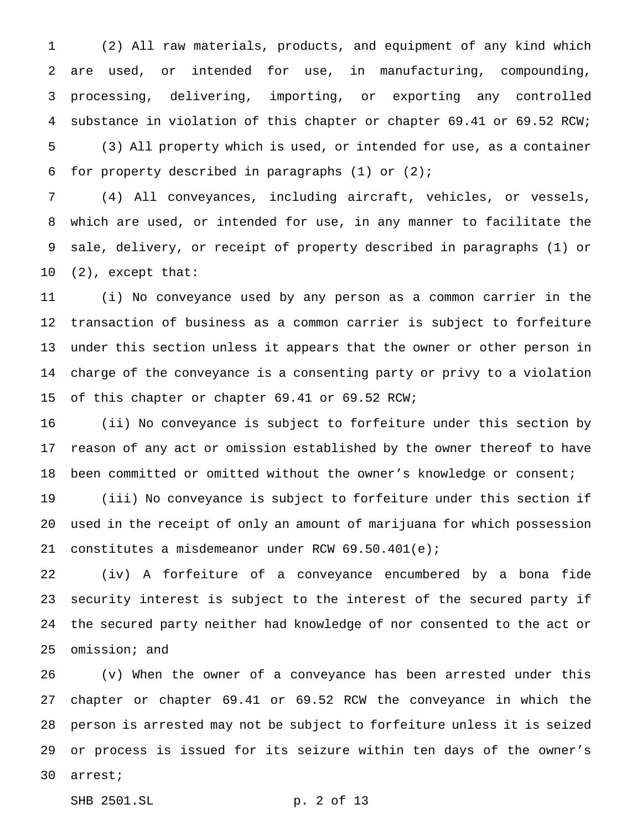(2) All raw materials, products, and equipment of any kind which are used, or intended for use, in manufacturing, compounding, processing, delivering, importing, or exporting any controlled substance in violation of this chapter or chapter 69.41 or 69.52 RCW;

 (3) All property which is used, or intended for use, as a container for property described in paragraphs (1) or (2);

 (4) All conveyances, including aircraft, vehicles, or vessels, which are used, or intended for use, in any manner to facilitate the sale, delivery, or receipt of property described in paragraphs (1) or (2), except that:

 (i) No conveyance used by any person as a common carrier in the transaction of business as a common carrier is subject to forfeiture under this section unless it appears that the owner or other person in charge of the conveyance is a consenting party or privy to a violation 15 of this chapter or chapter 69.41 or 69.52 RCW;

 (ii) No conveyance is subject to forfeiture under this section by reason of any act or omission established by the owner thereof to have been committed or omitted without the owner's knowledge or consent;

 (iii) No conveyance is subject to forfeiture under this section if used in the receipt of only an amount of marijuana for which possession constitutes a misdemeanor under RCW 69.50.401(e);

 (iv) A forfeiture of a conveyance encumbered by a bona fide security interest is subject to the interest of the secured party if the secured party neither had knowledge of nor consented to the act or omission; and

 (v) When the owner of a conveyance has been arrested under this chapter or chapter 69.41 or 69.52 RCW the conveyance in which the person is arrested may not be subject to forfeiture unless it is seized or process is issued for its seizure within ten days of the owner's arrest;

SHB 2501.SL p. 2 of 13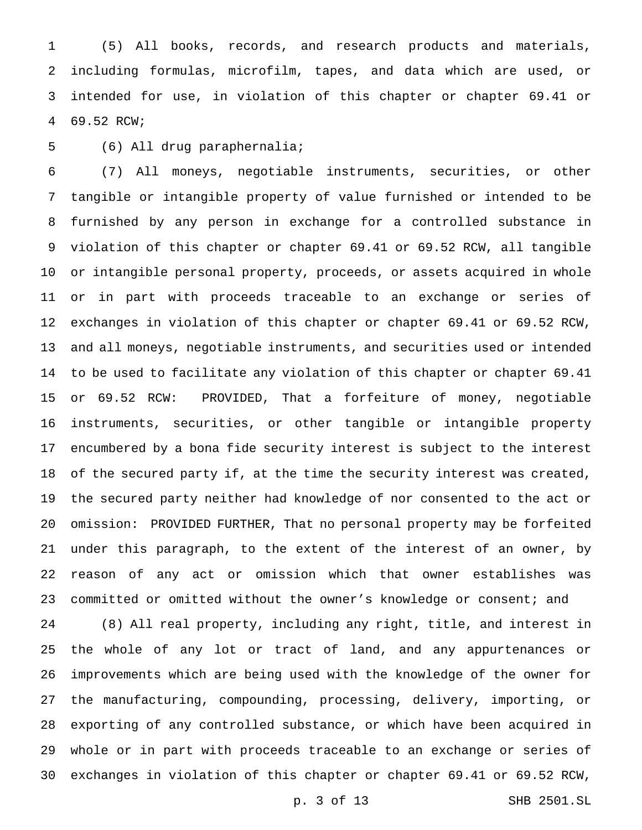(5) All books, records, and research products and materials, including formulas, microfilm, tapes, and data which are used, or intended for use, in violation of this chapter or chapter 69.41 or 69.52 RCW;

(6) All drug paraphernalia;

 (7) All moneys, negotiable instruments, securities, or other tangible or intangible property of value furnished or intended to be furnished by any person in exchange for a controlled substance in violation of this chapter or chapter 69.41 or 69.52 RCW, all tangible or intangible personal property, proceeds, or assets acquired in whole or in part with proceeds traceable to an exchange or series of exchanges in violation of this chapter or chapter 69.41 or 69.52 RCW, and all moneys, negotiable instruments, and securities used or intended to be used to facilitate any violation of this chapter or chapter 69.41 or 69.52 RCW: PROVIDED, That a forfeiture of money, negotiable instruments, securities, or other tangible or intangible property encumbered by a bona fide security interest is subject to the interest of the secured party if, at the time the security interest was created, the secured party neither had knowledge of nor consented to the act or omission: PROVIDED FURTHER, That no personal property may be forfeited under this paragraph, to the extent of the interest of an owner, by reason of any act or omission which that owner establishes was committed or omitted without the owner's knowledge or consent; and

 (8) All real property, including any right, title, and interest in the whole of any lot or tract of land, and any appurtenances or improvements which are being used with the knowledge of the owner for the manufacturing, compounding, processing, delivery, importing, or exporting of any controlled substance, or which have been acquired in whole or in part with proceeds traceable to an exchange or series of exchanges in violation of this chapter or chapter 69.41 or 69.52 RCW,

p. 3 of 13 SHB 2501.SL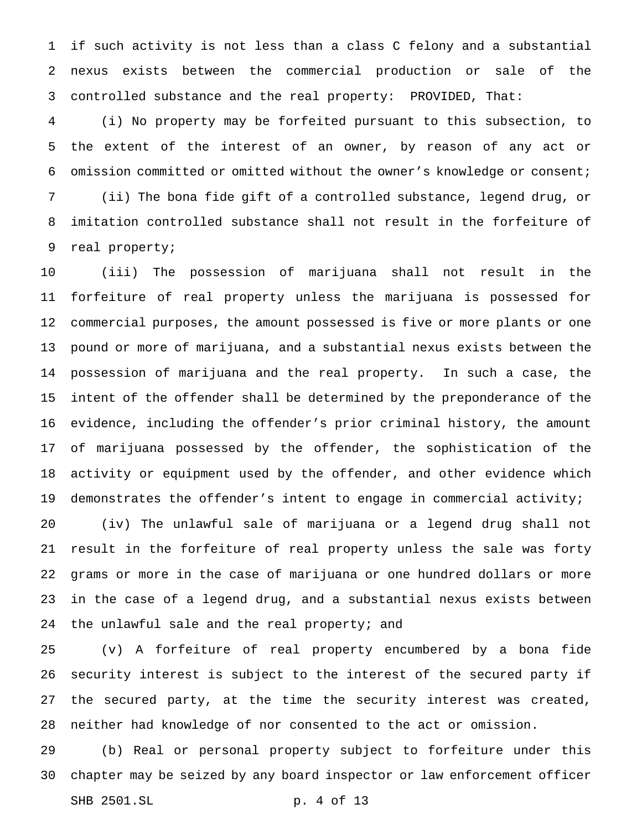if such activity is not less than a class C felony and a substantial nexus exists between the commercial production or sale of the controlled substance and the real property: PROVIDED, That:

 (i) No property may be forfeited pursuant to this subsection, to the extent of the interest of an owner, by reason of any act or omission committed or omitted without the owner's knowledge or consent; (ii) The bona fide gift of a controlled substance, legend drug, or imitation controlled substance shall not result in the forfeiture of real property;

 (iii) The possession of marijuana shall not result in the forfeiture of real property unless the marijuana is possessed for commercial purposes, the amount possessed is five or more plants or one pound or more of marijuana, and a substantial nexus exists between the possession of marijuana and the real property. In such a case, the intent of the offender shall be determined by the preponderance of the evidence, including the offender's prior criminal history, the amount of marijuana possessed by the offender, the sophistication of the activity or equipment used by the offender, and other evidence which demonstrates the offender's intent to engage in commercial activity; (iv) The unlawful sale of marijuana or a legend drug shall not result in the forfeiture of real property unless the sale was forty grams or more in the case of marijuana or one hundred dollars or more in the case of a legend drug, and a substantial nexus exists between

the unlawful sale and the real property; and

 (v) A forfeiture of real property encumbered by a bona fide security interest is subject to the interest of the secured party if the secured party, at the time the security interest was created, neither had knowledge of nor consented to the act or omission.

 (b) Real or personal property subject to forfeiture under this chapter may be seized by any board inspector or law enforcement officer SHB 2501.SL p. 4 of 13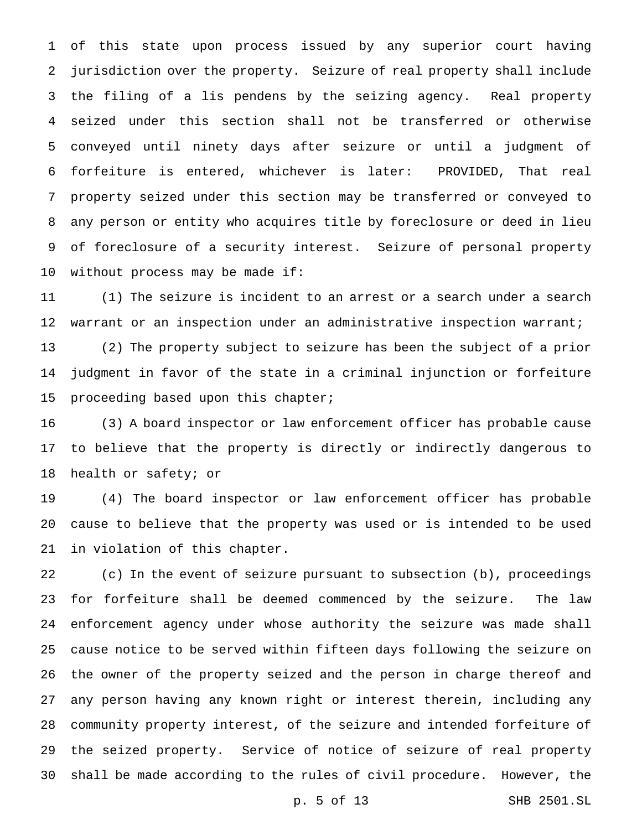of this state upon process issued by any superior court having jurisdiction over the property. Seizure of real property shall include the filing of a lis pendens by the seizing agency. Real property seized under this section shall not be transferred or otherwise conveyed until ninety days after seizure or until a judgment of forfeiture is entered, whichever is later: PROVIDED, That real property seized under this section may be transferred or conveyed to any person or entity who acquires title by foreclosure or deed in lieu of foreclosure of a security interest. Seizure of personal property without process may be made if:

 (1) The seizure is incident to an arrest or a search under a search warrant or an inspection under an administrative inspection warrant;

 (2) The property subject to seizure has been the subject of a prior judgment in favor of the state in a criminal injunction or forfeiture 15 proceeding based upon this chapter;

 (3) A board inspector or law enforcement officer has probable cause to believe that the property is directly or indirectly dangerous to health or safety; or

 (4) The board inspector or law enforcement officer has probable cause to believe that the property was used or is intended to be used in violation of this chapter.

 (c) In the event of seizure pursuant to subsection (b), proceedings for forfeiture shall be deemed commenced by the seizure. The law enforcement agency under whose authority the seizure was made shall cause notice to be served within fifteen days following the seizure on the owner of the property seized and the person in charge thereof and any person having any known right or interest therein, including any community property interest, of the seizure and intended forfeiture of the seized property. Service of notice of seizure of real property shall be made according to the rules of civil procedure. However, the

p. 5 of 13 SHB 2501.SL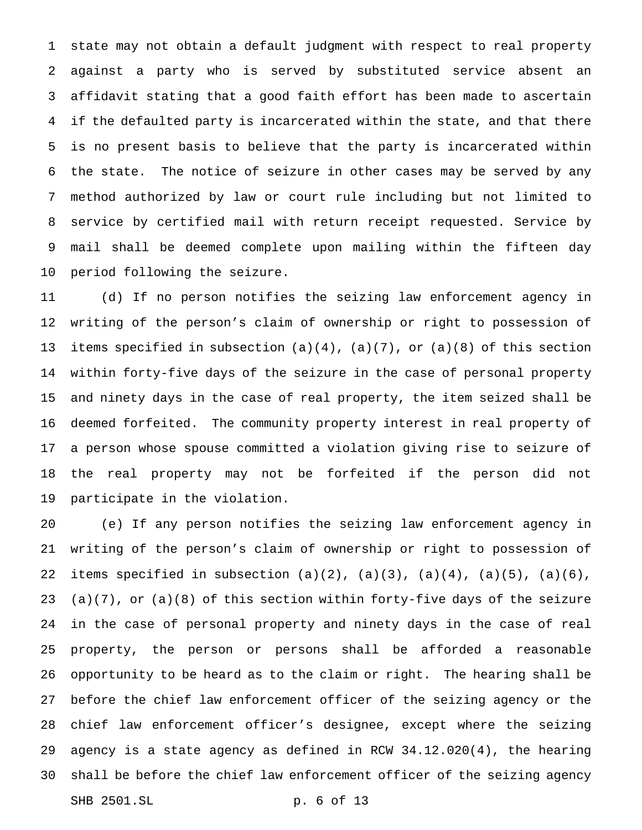state may not obtain a default judgment with respect to real property against a party who is served by substituted service absent an affidavit stating that a good faith effort has been made to ascertain if the defaulted party is incarcerated within the state, and that there is no present basis to believe that the party is incarcerated within the state. The notice of seizure in other cases may be served by any method authorized by law or court rule including but not limited to service by certified mail with return receipt requested. Service by mail shall be deemed complete upon mailing within the fifteen day period following the seizure.

 (d) If no person notifies the seizing law enforcement agency in writing of the person's claim of ownership or right to possession of 13 items specified in subsection  $(a)(4)$ ,  $(a)(7)$ , or  $(a)(8)$  of this section within forty-five days of the seizure in the case of personal property and ninety days in the case of real property, the item seized shall be deemed forfeited. The community property interest in real property of a person whose spouse committed a violation giving rise to seizure of the real property may not be forfeited if the person did not participate in the violation.

 (e) If any person notifies the seizing law enforcement agency in writing of the person's claim of ownership or right to possession of 22 items specified in subsection  $(a)(2)$ ,  $(a)(3)$ ,  $(a)(4)$ ,  $(a)(5)$ ,  $(a)(6)$ , (a)(7), or (a)(8) of this section within forty-five days of the seizure in the case of personal property and ninety days in the case of real property, the person or persons shall be afforded a reasonable opportunity to be heard as to the claim or right. The hearing shall be before the chief law enforcement officer of the seizing agency or the chief law enforcement officer's designee, except where the seizing agency is a state agency as defined in RCW 34.12.020(4), the hearing shall be before the chief law enforcement officer of the seizing agency SHB 2501.SL p. 6 of 13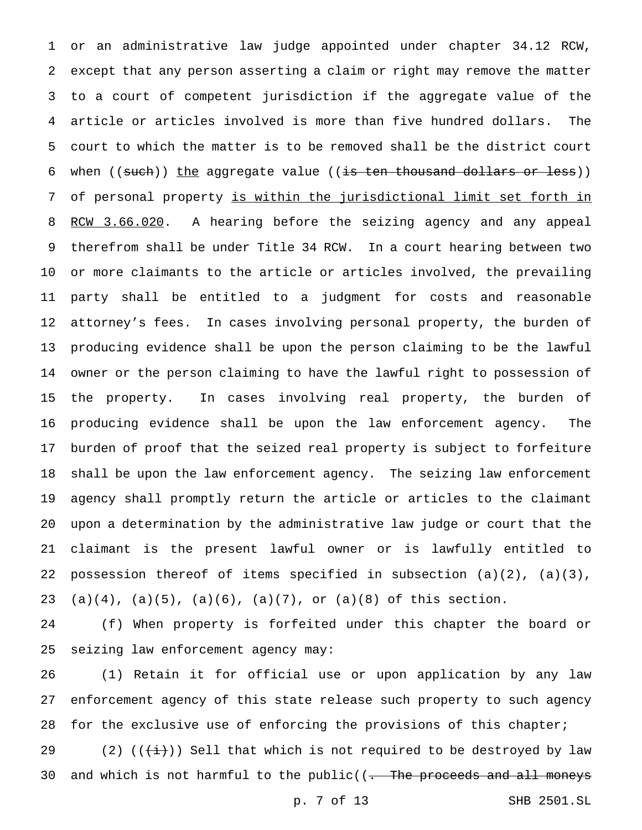or an administrative law judge appointed under chapter 34.12 RCW, except that any person asserting a claim or right may remove the matter to a court of competent jurisdiction if the aggregate value of the article or articles involved is more than five hundred dollars. The court to which the matter is to be removed shall be the district court 6 when  $((such) )$  the aggregate value  $((is ten thousand dollars or less))$  of personal property is within the jurisdictional limit set forth in 8 RCW 3.66.020. A hearing before the seizing agency and any appeal therefrom shall be under Title 34 RCW. In a court hearing between two or more claimants to the article or articles involved, the prevailing party shall be entitled to a judgment for costs and reasonable attorney's fees. In cases involving personal property, the burden of producing evidence shall be upon the person claiming to be the lawful owner or the person claiming to have the lawful right to possession of the property. In cases involving real property, the burden of producing evidence shall be upon the law enforcement agency. The burden of proof that the seized real property is subject to forfeiture shall be upon the law enforcement agency. The seizing law enforcement agency shall promptly return the article or articles to the claimant upon a determination by the administrative law judge or court that the claimant is the present lawful owner or is lawfully entitled to possession thereof of items specified in subsection (a)(2), (a)(3), 23 (a)(4), (a)(5), (a)(6), (a)(7), or (a)(8) of this section.

 (f) When property is forfeited under this chapter the board or seizing law enforcement agency may:

 (1) Retain it for official use or upon application by any law enforcement agency of this state release such property to such agency 28 for the exclusive use of enforcing the provisions of this chapter;

29 (2) ( $(\frac{1}{1})$ ) Sell that which is not required to be destroyed by law 30 and which is not harmful to the public((<del>. The proceeds and all moneys</del>

p. 7 of 13 SHB 2501.SL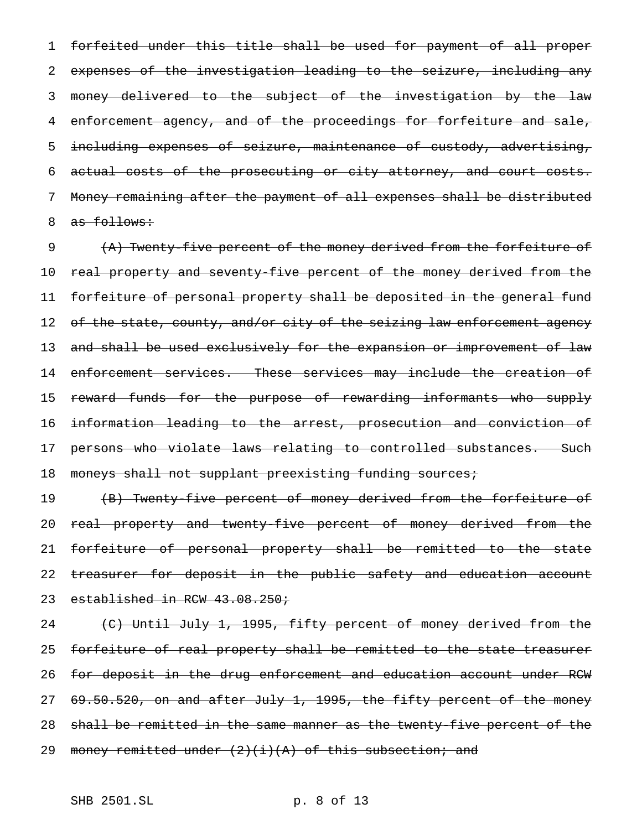forfeited under this title shall be used for payment of all proper expenses of the investigation leading to the seizure, including any money delivered to the subject of the investigation by the law 4 enforcement agency, and of the proceedings for forfeiture and sale, 5 including expenses of seizure, maintenance of custody, advertising, actual costs of the prosecuting or city attorney, and court costs. Money remaining after the payment of all expenses shall be distributed 8 as follows:

9 (A) Twenty-five percent of the money derived from the forfeiture of 10 real property and seventy-five percent of the money derived from the 11 forfeiture of personal property shall be deposited in the general fund 12 of the state, county, and/or city of the seizing law enforcement agency 13 a<del>nd shall be used exclusively for the expansion or improvement of law</del> 14 enforcement services. These services may include the creation of 15 reward funds for the purpose of rewarding informants who supply 16 information leading to the arrest, prosecution and conviction of 17 persons who violate laws relating to controlled substances. Such 18 moneys shall not supplant preexisting funding sources;

19 (B) Twenty-five percent of money derived from the forfeiture of 20 real property and twenty-five percent of money derived from the 21 forfeiture of personal property shall be remitted to the state 22 treasurer for deposit in the public safety and education account 23 established in RCW 43.08.250;

24 (C) Until July 1, 1995, fifty percent of money derived from the forfeiture of real property shall be remitted to the state treasurer for deposit in the drug enforcement and education account under RCW 69.50.520, on and after July 1, 1995, the fifty percent of the money shall be remitted in the same manner as the twenty-five percent of the 29 money remitted under  $(2)(i)(A)$  of this subsection; and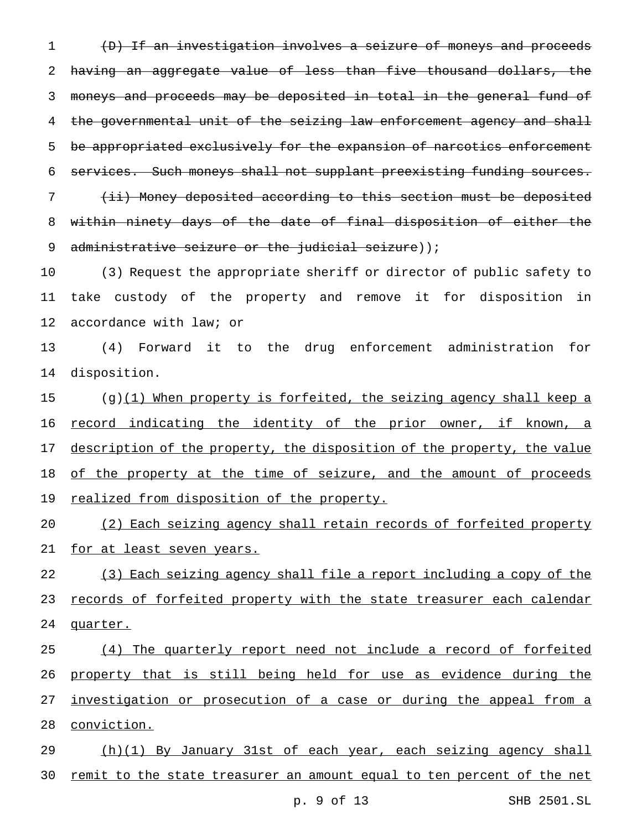(D) If an investigation involves a seizure of moneys and proceeds having an aggregate value of less than five thousand dollars, the moneys and proceeds may be deposited in total in the general fund of 4 the governmental unit of the seizing law enforcement agency and shall 5 be appropriated exclusively for the expansion of narcotics enforcement services. Such moneys shall not supplant preexisting funding sources. (ii) Money deposited according to this section must be deposited within ninety days of the date of final disposition of either the 9 administrative seizure or the judicial seizure));

 (3) Request the appropriate sheriff or director of public safety to take custody of the property and remove it for disposition in accordance with law; or

 (4) Forward it to the drug enforcement administration for disposition.

 (g)(1) When property is forfeited, the seizing agency shall keep a 16 record indicating the identity of the prior owner, if known, a 17 description of the property, the disposition of the property, the value 18 of the property at the time of seizure, and the amount of proceeds 19 realized from disposition of the property.

 (2) Each seizing agency shall retain records of forfeited property for at least seven years.

22 (3) Each seizing agency shall file a report including a copy of the 23 records of forfeited property with the state treasurer each calendar quarter.

 (4) The quarterly report need not include a record of forfeited property that is still being held for use as evidence during the 27 investigation or prosecution of a case or during the appeal from a conviction.

 (h)(1) By January 31st of each year, each seizing agency shall 30 remit to the state treasurer an amount equal to ten percent of the net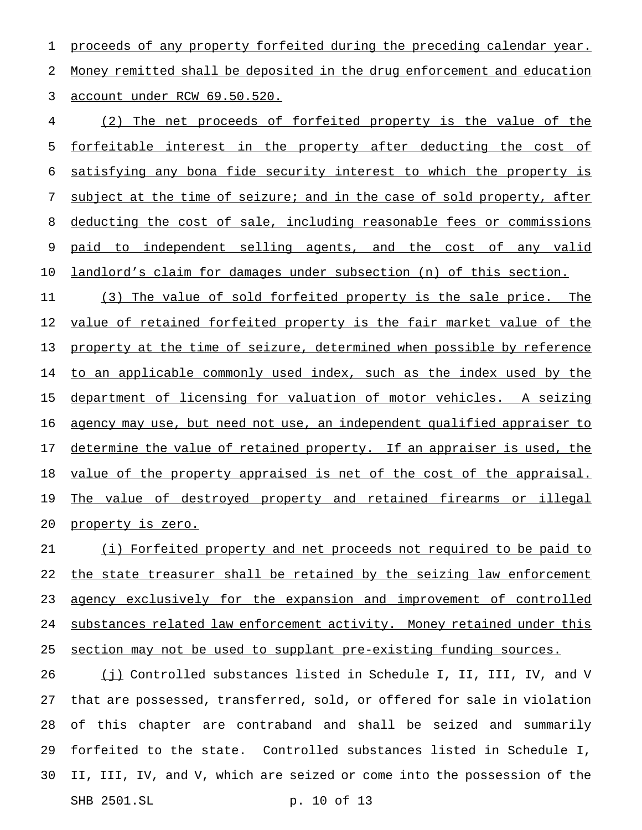1 proceeds of any property forfeited during the preceding calendar year. 2 Money remitted shall be deposited in the drug enforcement and education 3 account under RCW 69.50.520.

 (2) The net proceeds of forfeited property is the value of the forfeitable interest in the property after deducting the cost of satisfying any bona fide security interest to which the property is subject at the time of seizure; and in the case of sold property, after deducting the cost of sale, including reasonable fees or commissions 9 paid to independent selling agents, and the cost of any valid landlord's claim for damages under subsection (n) of this section.

11 (3) The value of sold forfeited property is the sale price. The 12 <u>value of retained forfeited property is the fair market value of the</u> 13 property at the time of seizure, determined when possible by reference 14 to an applicable commonly used index, such as the index used by the 15 department of licensing for valuation of motor vehicles. A seizing 16 agency may use, but need not use, an independent qualified appraiser to 17 determine the value of retained property. If an appraiser is used, the 18 value of the property appraised is net of the cost of the appraisal. 19 The value of destroyed property and retained firearms or illegal 20 property is zero.

21 (i) Forfeited property and net proceeds not required to be paid to 22 the state treasurer shall be retained by the seizing law enforcement 23 agency exclusively for the expansion and improvement of controlled 24 substances related law enforcement activity. Money retained under this 25 section may not be used to supplant pre-existing funding sources.

 (j) Controlled substances listed in Schedule I, II, III, IV, and V that are possessed, transferred, sold, or offered for sale in violation of this chapter are contraband and shall be seized and summarily forfeited to the state. Controlled substances listed in Schedule I, II, III, IV, and V, which are seized or come into the possession of the SHB 2501.SL p. 10 of 13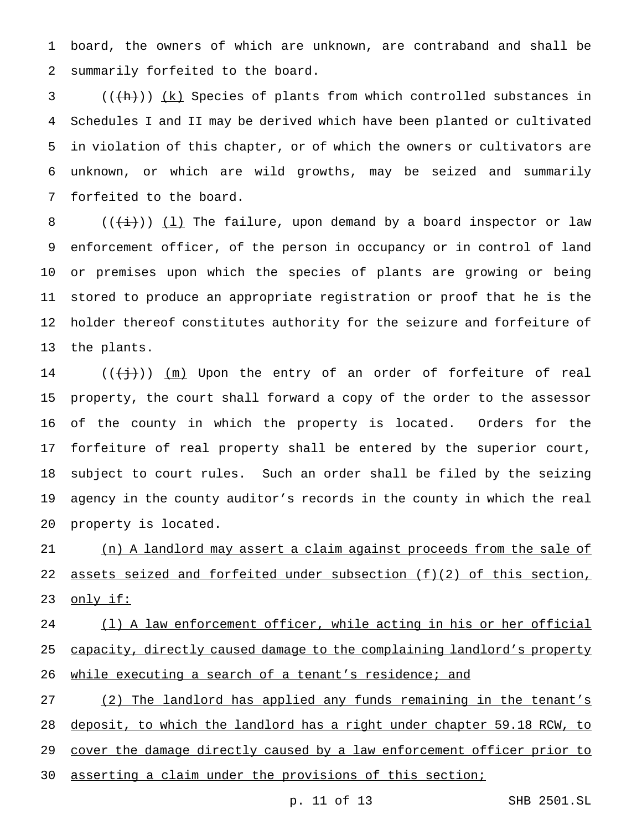board, the owners of which are unknown, are contraband and shall be summarily forfeited to the board.

 $((+h))$   $(k)$  Species of plants from which controlled substances in Schedules I and II may be derived which have been planted or cultivated in violation of this chapter, or of which the owners or cultivators are unknown, or which are wild growths, may be seized and summarily forfeited to the board.

8 ( $(\overline{\pm})$ ) (1) The failure, upon demand by a board inspector or law enforcement officer, of the person in occupancy or in control of land or premises upon which the species of plants are growing or being stored to produce an appropriate registration or proof that he is the holder thereof constitutes authority for the seizure and forfeiture of the plants.

 $((\{\dagger\})$ )  $(m)$  Upon the entry of an order of forfeiture of real property, the court shall forward a copy of the order to the assessor of the county in which the property is located. Orders for the forfeiture of real property shall be entered by the superior court, subject to court rules. Such an order shall be filed by the seizing agency in the county auditor's records in the county in which the real property is located.

 (n) A landlord may assert a claim against proceeds from the sale of assets seized and forfeited under subsection (f)(2) of this section, 23 only if:

24 (1) A law enforcement officer, while acting in his or her official 25 capacity, directly caused damage to the complaining landlord's property while executing a search of a tenant's residence; and

27 (2) The landlord has applied any funds remaining in the tenant's deposit, to which the landlord has a right under chapter 59.18 RCW, to cover the damage directly caused by a law enforcement officer prior to asserting a claim under the provisions of this section;

p. 11 of 13 SHB 2501.SL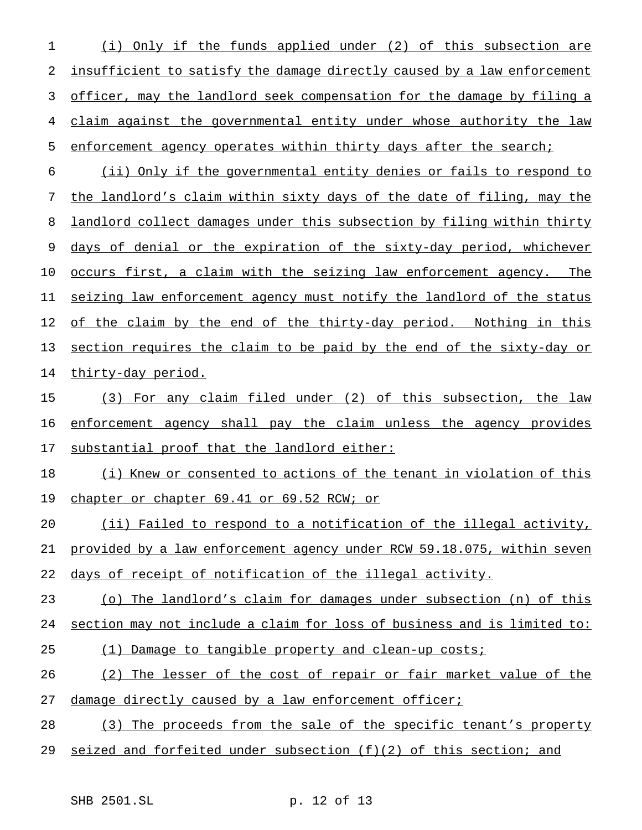(i) Only if the funds applied under (2) of this subsection are insufficient to satisfy the damage directly caused by a law enforcement officer, may the landlord seek compensation for the damage by filing a claim against the governmental entity under whose authority the law 5 enforcement agency operates within thirty days after the search;

 (ii) Only if the governmental entity denies or fails to respond to the landlord's claim within sixty days of the date of filing, may the landlord collect damages under this subsection by filing within thirty 9 days of denial or the expiration of the sixty-day period, whichever occurs first, a claim with the seizing law enforcement agency. The seizing law enforcement agency must notify the landlord of the status 12 of the claim by the end of the thirty-day period. Nothing in this 13 section requires the claim to be paid by the end of the sixty-day or 14 thirty-day period.

 (3) For any claim filed under (2) of this subsection, the law enforcement agency shall pay the claim unless the agency provides substantial proof that the landlord either:

 (i) Knew or consented to actions of the tenant in violation of this 19 chapter or chapter 69.41 or 69.52 RCW; or

 (ii) Failed to respond to a notification of the illegal activity, provided by a law enforcement agency under RCW 59.18.075, within seven days of receipt of notification of the illegal activity.

(o) The landlord's claim for damages under subsection (n) of this

section may not include a claim for loss of business and is limited to:

(1) Damage to tangible property and clean-up costs;

(2) The lesser of the cost of repair or fair market value of the

27 damage directly caused by a law enforcement officer;

28 (3) The proceeds from the sale of the specific tenant's property

seized and forfeited under subsection (f)(2) of this section; and